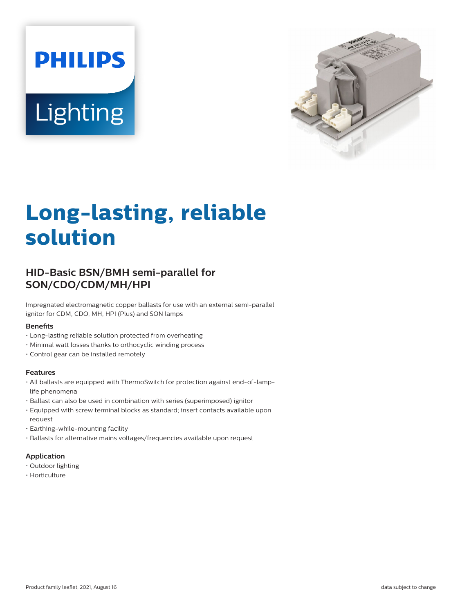# **PHILIPS** Lighting



# **Long-lasting, reliable solution**

## **HID-Basic BSN/BMH semi-parallel for SON/CDO/CDM/MH/HPI**

Impregnated electromagnetic copper ballasts for use with an external semi-parallel ignitor for CDM, CDO, MH, HPI (Plus) and SON lamps

#### **Benefits**

- Long-lasting reliable solution protected from overheating
- Minimal watt losses thanks to orthocyclic winding process
- Control gear can be installed remotely

#### **Features**

- All ballasts are equipped with ThermoSwitch for protection against end-of-lamplife phenomena
- Ballast can also be used in combination with series (superimposed) ignitor
- Equipped with screw terminal blocks as standard; insert contacts available upon request
- Earthing-while-mounting facility
- Ballasts for alternative mains voltages/frequencies available upon request

#### **Application**

- Outdoor lighting
- Horticulture